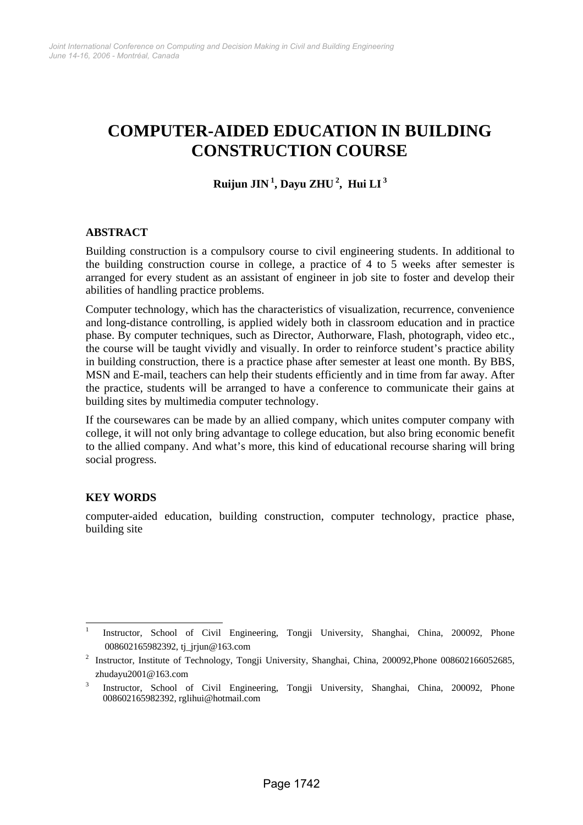# **COMPUTER-AIDED EDUCATION IN BUILDING CONSTRUCTION COURSE**

## **Ruijun JIN 1, Dayu ZHU 2, Hui LI 3**

## **ABSTRACT**

Building construction is a compulsory course to civil engineering students. In additional to the building construction course in college, a practice of 4 to 5 weeks after semester is arranged for every student as an assistant of engineer in job site to foster and develop their abilities of handling practice problems.

Computer technology, which has the characteristics of visualization, recurrence, convenience and long-distance controlling, is applied widely both in classroom education and in practice phase. By computer techniques, such as Director, Authorware, Flash, photograph, video etc., the course will be taught vividly and visually. In order to reinforce student's practice ability in building construction, there is a practice phase after semester at least one month. By BBS, MSN and E-mail, teachers can help their students efficiently and in time from far away. After the practice, students will be arranged to have a conference to communicate their gains at building sites by multimedia computer technology.

If the coursewares can be made by an allied company, which unites computer company with college, it will not only bring advantage to college education, but also bring economic benefit to the allied company. And what's more, this kind of educational recourse sharing will bring social progress.

## **KEY WORDS**

computer-aided education, building construction, computer technology, practice phase, building site

l 1 Instructor, School of Civil Engineering, Tongji University, Shanghai, China, 200092, Phone 008602165982392, tj\_jrjun@163.com

<sup>&</sup>lt;sup>2</sup> Instructor, Institute of Technology, Tongji University, Shanghai, China, 200092, Phone 008602166052685, zhudayu2001@163.com

Instructor, School of Civil Engineering, Tongji University, Shanghai, China, 200092, Phone 008602165982392, rglihui@hotmail.com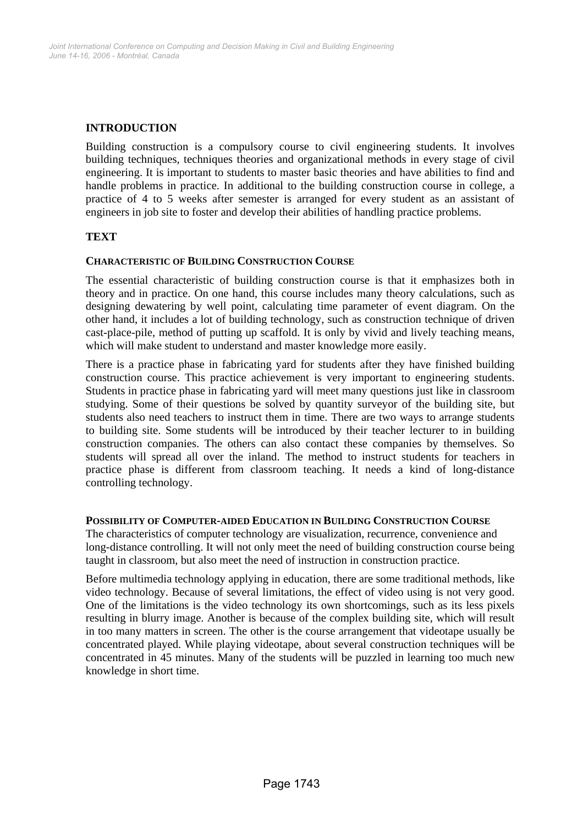## **INTRODUCTION**

Building construction is a compulsory course to civil engineering students. It involves building techniques, techniques theories and organizational methods in every stage of civil engineering. It is important to students to master basic theories and have abilities to find and handle problems in practice. In additional to the building construction course in college, a practice of 4 to 5 weeks after semester is arranged for every student as an assistant of engineers in job site to foster and develop their abilities of handling practice problems.

## **TEXT**

#### **CHARACTERISTIC OF BUILDING CONSTRUCTION COURSE**

The essential characteristic of building construction course is that it emphasizes both in theory and in practice. On one hand, this course includes many theory calculations, such as designing dewatering by well point, calculating time parameter of event diagram. On the other hand, it includes a lot of building technology, such as construction technique of driven cast-place-pile, method of putting up scaffold. It is only by vivid and lively teaching means, which will make student to understand and master knowledge more easily.

There is a practice phase in fabricating yard for students after they have finished building construction course. This practice achievement is very important to engineering students. Students in practice phase in fabricating yard will meet many questions just like in classroom studying. Some of their questions be solved by quantity surveyor of the building site, but students also need teachers to instruct them in time. There are two ways to arrange students to building site. Some students will be introduced by their teacher lecturer to in building construction companies. The others can also contact these companies by themselves. So students will spread all over the inland. The method to instruct students for teachers in practice phase is different from classroom teaching. It needs a kind of long-distance controlling technology.

#### **POSSIBILITY OF COMPUTER-AIDED EDUCATION IN BUILDING CONSTRUCTION COURSE**

The characteristics of computer technology are visualization, recurrence, convenience and long-distance controlling. It will not only meet the need of building construction course being taught in classroom, but also meet the need of instruction in construction practice.

Before multimedia technology applying in education, there are some traditional methods, like video technology. Because of several limitations, the effect of video using is not very good. One of the limitations is the video technology its own shortcomings, such as its less pixels resulting in blurry image. Another is because of the complex building site, which will result in too many matters in screen. The other is the course arrangement that videotape usually be concentrated played. While playing videotape, about several construction techniques will be concentrated in 45 minutes. Many of the students will be puzzled in learning too much new knowledge in short time.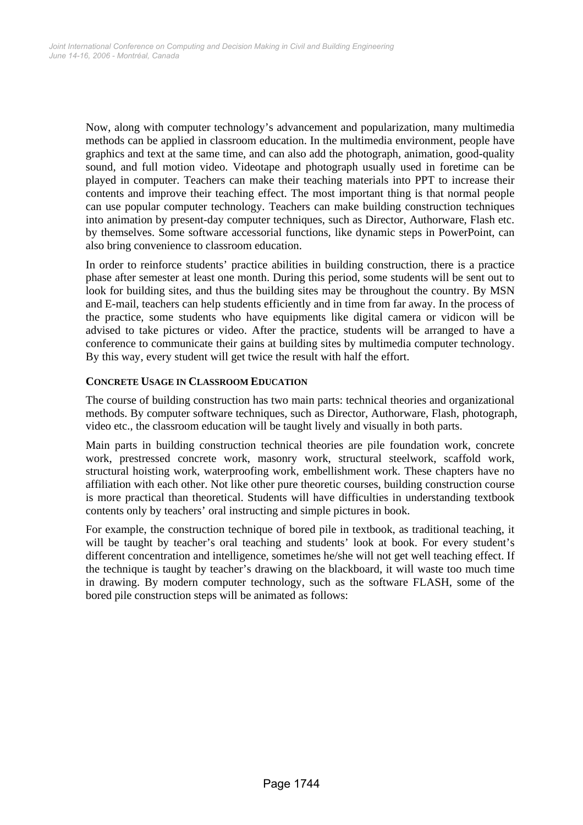Now, along with computer technology's advancement and popularization, many multimedia methods can be applied in classroom education. In the multimedia environment, people have graphics and text at the same time, and can also add the photograph, animation, good-quality sound, and full motion video. Videotape and photograph usually used in foretime can be played in computer. Teachers can make their teaching materials into PPT to increase their contents and improve their teaching effect. The most important thing is that normal people can use popular computer technology. Teachers can make building construction techniques into animation by present-day computer techniques, such as Director, Authorware, Flash etc. by themselves. Some software accessorial functions, like dynamic steps in PowerPoint, can also bring convenience to classroom education.

In order to reinforce students' practice abilities in building construction, there is a practice phase after semester at least one month. During this period, some students will be sent out to look for building sites, and thus the building sites may be throughout the country. By MSN and E-mail, teachers can help students efficiently and in time from far away. In the process of the practice, some students who have equipments like digital camera or vidicon will be advised to take pictures or video. After the practice, students will be arranged to have a conference to communicate their gains at building sites by multimedia computer technology. By this way, every student will get twice the result with half the effort.

#### **CONCRETE USAGE IN CLASSROOM EDUCATION**

The course of building construction has two main parts: technical theories and organizational methods. By computer software techniques, such as Director, Authorware, Flash, photograph, video etc., the classroom education will be taught lively and visually in both parts.

Main parts in building construction technical theories are pile foundation work, concrete work, prestressed concrete work, masonry work, structural steelwork, scaffold work, structural hoisting work, waterproofing work, embellishment work. These chapters have no affiliation with each other. Not like other pure theoretic courses, building construction course is more practical than theoretical. Students will have difficulties in understanding textbook contents only by teachers' oral instructing and simple pictures in book.

For example, the construction technique of bored pile in textbook, as traditional teaching, it will be taught by teacher's oral teaching and students' look at book. For every student's different concentration and intelligence, sometimes he/she will not get well teaching effect. If the technique is taught by teacher's drawing on the blackboard, it will waste too much time in drawing. By modern computer technology, such as the software FLASH, some of the bored pile construction steps will be animated as follows: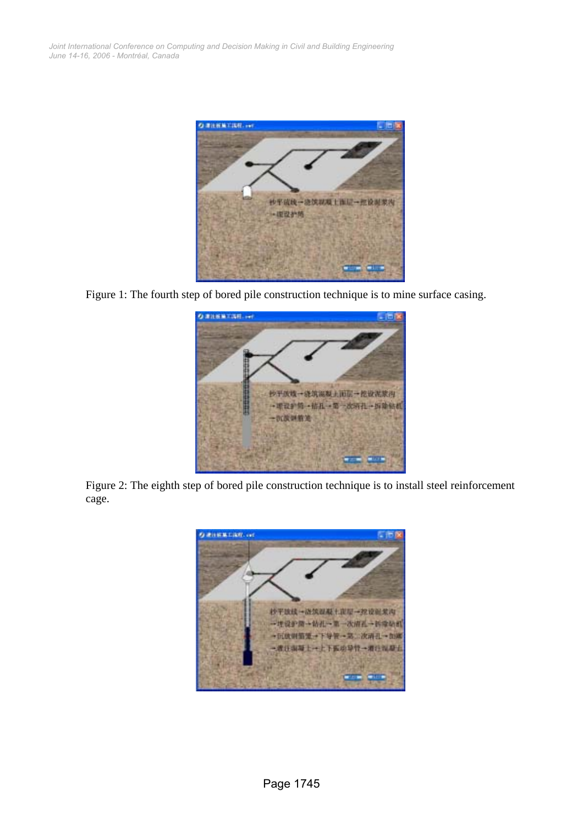

Figure 1: The fourth step of bored pile construction technique is to mine surface casing.



Figure 2: The eighth step of bored pile construction technique is to install steel reinforcement cage.

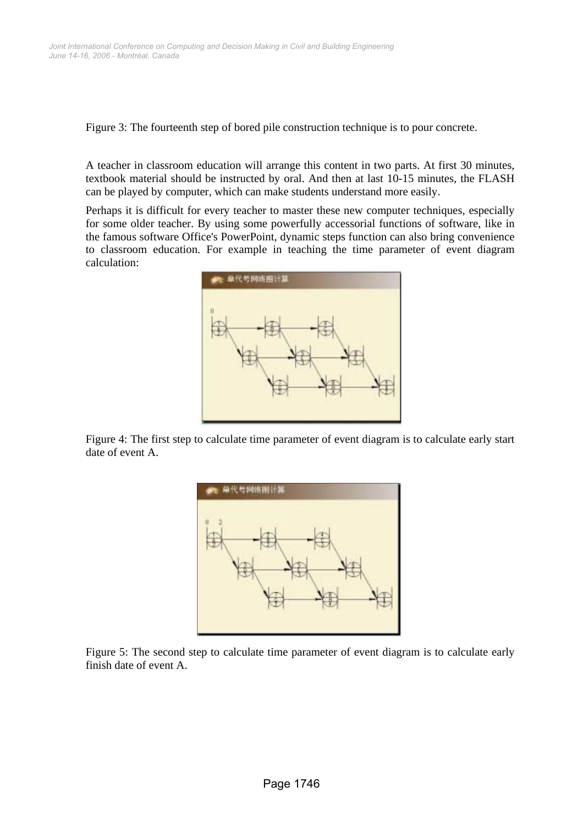Figure 3: The fourteenth step of bored pile construction technique is to pour concrete.

A teacher in classroom education will arrange this content in two parts. At first 30 minutes, textbook material should be instructed by oral. And then at last 10-15 minutes, the FLASH can be played by computer, which can make students understand more easily.

Perhaps it is difficult for every teacher to master these new computer techniques, especially for some older teacher. By using some powerfully accessorial functions of software, like in the famous software Office's PowerPoint, dynamic steps function can also bring convenience to classroom education. For example in teaching the time parameter of event diagram calculation:



Figure 4: The first step to calculate time parameter of event diagram is to calculate early start date of event A.



Figure 5: The second step to calculate time parameter of event diagram is to calculate early finish date of event A.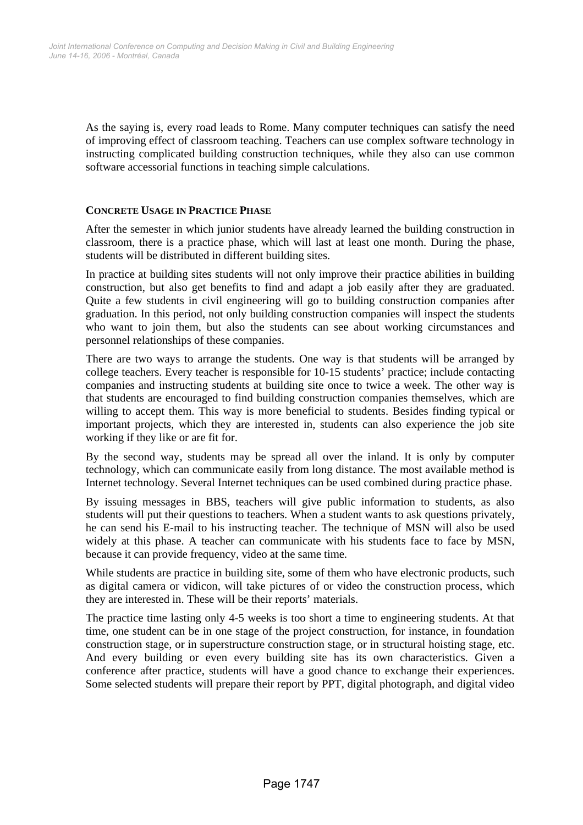As the saying is, every road leads to Rome. Many computer techniques can satisfy the need of improving effect of classroom teaching. Teachers can use complex software technology in instructing complicated building construction techniques, while they also can use common software accessorial functions in teaching simple calculations.

#### **CONCRETE USAGE IN PRACTICE PHASE**

After the semester in which junior students have already learned the building construction in classroom, there is a practice phase, which will last at least one month. During the phase, students will be distributed in different building sites.

In practice at building sites students will not only improve their practice abilities in building construction, but also get benefits to find and adapt a job easily after they are graduated. Quite a few students in civil engineering will go to building construction companies after graduation. In this period, not only building construction companies will inspect the students who want to join them, but also the students can see about working circumstances and personnel relationships of these companies.

There are two ways to arrange the students. One way is that students will be arranged by college teachers. Every teacher is responsible for 10-15 students' practice; include contacting companies and instructing students at building site once to twice a week. The other way is that students are encouraged to find building construction companies themselves, which are willing to accept them. This way is more beneficial to students. Besides finding typical or important projects, which they are interested in, students can also experience the job site working if they like or are fit for.

By the second way, students may be spread all over the inland. It is only by computer technology, which can communicate easily from long distance. The most available method is Internet technology. Several Internet techniques can be used combined during practice phase.

By issuing messages in BBS, teachers will give public information to students, as also students will put their questions to teachers. When a student wants to ask questions privately, he can send his E-mail to his instructing teacher. The technique of MSN will also be used widely at this phase. A teacher can communicate with his students face to face by MSN, because it can provide frequency, video at the same time.

While students are practice in building site, some of them who have electronic products, such as digital camera or vidicon, will take pictures of or video the construction process, which they are interested in. These will be their reports' materials.

The practice time lasting only 4-5 weeks is too short a time to engineering students. At that time, one student can be in one stage of the project construction, for instance, in foundation construction stage, or in superstructure construction stage, or in structural hoisting stage, etc. And every building or even every building site has its own characteristics. Given a conference after practice, students will have a good chance to exchange their experiences. Some selected students will prepare their report by PPT, digital photograph, and digital video